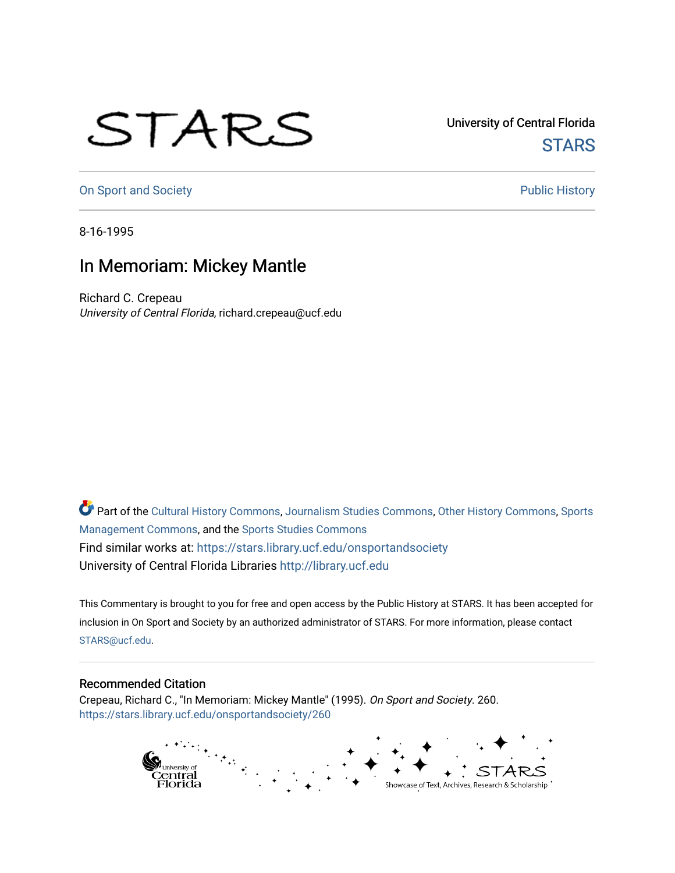## STARS

University of Central Florida **STARS** 

[On Sport and Society](https://stars.library.ucf.edu/onsportandsociety) **Public History** Public History

8-16-1995

## In Memoriam: Mickey Mantle

Richard C. Crepeau University of Central Florida, richard.crepeau@ucf.edu

Part of the [Cultural History Commons](http://network.bepress.com/hgg/discipline/496?utm_source=stars.library.ucf.edu%2Fonsportandsociety%2F260&utm_medium=PDF&utm_campaign=PDFCoverPages), [Journalism Studies Commons,](http://network.bepress.com/hgg/discipline/333?utm_source=stars.library.ucf.edu%2Fonsportandsociety%2F260&utm_medium=PDF&utm_campaign=PDFCoverPages) [Other History Commons,](http://network.bepress.com/hgg/discipline/508?utm_source=stars.library.ucf.edu%2Fonsportandsociety%2F260&utm_medium=PDF&utm_campaign=PDFCoverPages) [Sports](http://network.bepress.com/hgg/discipline/1193?utm_source=stars.library.ucf.edu%2Fonsportandsociety%2F260&utm_medium=PDF&utm_campaign=PDFCoverPages) [Management Commons](http://network.bepress.com/hgg/discipline/1193?utm_source=stars.library.ucf.edu%2Fonsportandsociety%2F260&utm_medium=PDF&utm_campaign=PDFCoverPages), and the [Sports Studies Commons](http://network.bepress.com/hgg/discipline/1198?utm_source=stars.library.ucf.edu%2Fonsportandsociety%2F260&utm_medium=PDF&utm_campaign=PDFCoverPages) Find similar works at: <https://stars.library.ucf.edu/onsportandsociety> University of Central Florida Libraries [http://library.ucf.edu](http://library.ucf.edu/) 

This Commentary is brought to you for free and open access by the Public History at STARS. It has been accepted for inclusion in On Sport and Society by an authorized administrator of STARS. For more information, please contact [STARS@ucf.edu](mailto:STARS@ucf.edu).

## Recommended Citation

Crepeau, Richard C., "In Memoriam: Mickey Mantle" (1995). On Sport and Society. 260. [https://stars.library.ucf.edu/onsportandsociety/260](https://stars.library.ucf.edu/onsportandsociety/260?utm_source=stars.library.ucf.edu%2Fonsportandsociety%2F260&utm_medium=PDF&utm_campaign=PDFCoverPages)

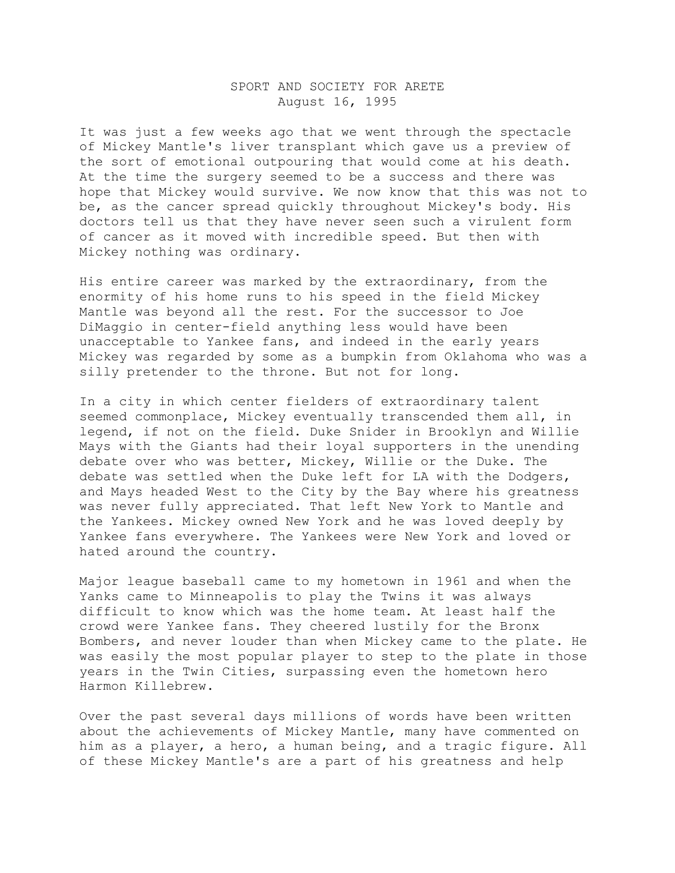## SPORT AND SOCIETY FOR ARETE August 16, 1995

It was just a few weeks ago that we went through the spectacle of Mickey Mantle's liver transplant which gave us a preview of the sort of emotional outpouring that would come at his death. At the time the surgery seemed to be a success and there was hope that Mickey would survive. We now know that this was not to be, as the cancer spread quickly throughout Mickey's body. His doctors tell us that they have never seen such a virulent form of cancer as it moved with incredible speed. But then with Mickey nothing was ordinary.

His entire career was marked by the extraordinary, from the enormity of his home runs to his speed in the field Mickey Mantle was beyond all the rest. For the successor to Joe DiMaggio in center-field anything less would have been unacceptable to Yankee fans, and indeed in the early years Mickey was regarded by some as a bumpkin from Oklahoma who was a silly pretender to the throne. But not for long.

In a city in which center fielders of extraordinary talent seemed commonplace, Mickey eventually transcended them all, in legend, if not on the field. Duke Snider in Brooklyn and Willie Mays with the Giants had their loyal supporters in the unending debate over who was better, Mickey, Willie or the Duke. The debate was settled when the Duke left for LA with the Dodgers, and Mays headed West to the City by the Bay where his greatness was never fully appreciated. That left New York to Mantle and the Yankees. Mickey owned New York and he was loved deeply by Yankee fans everywhere. The Yankees were New York and loved or hated around the country.

Major league baseball came to my hometown in 1961 and when the Yanks came to Minneapolis to play the Twins it was always difficult to know which was the home team. At least half the crowd were Yankee fans. They cheered lustily for the Bronx Bombers, and never louder than when Mickey came to the plate. He was easily the most popular player to step to the plate in those years in the Twin Cities, surpassing even the hometown hero Harmon Killebrew.

Over the past several days millions of words have been written about the achievements of Mickey Mantle, many have commented on him as a player, a hero, a human being, and a tragic figure. All of these Mickey Mantle's are a part of his greatness and help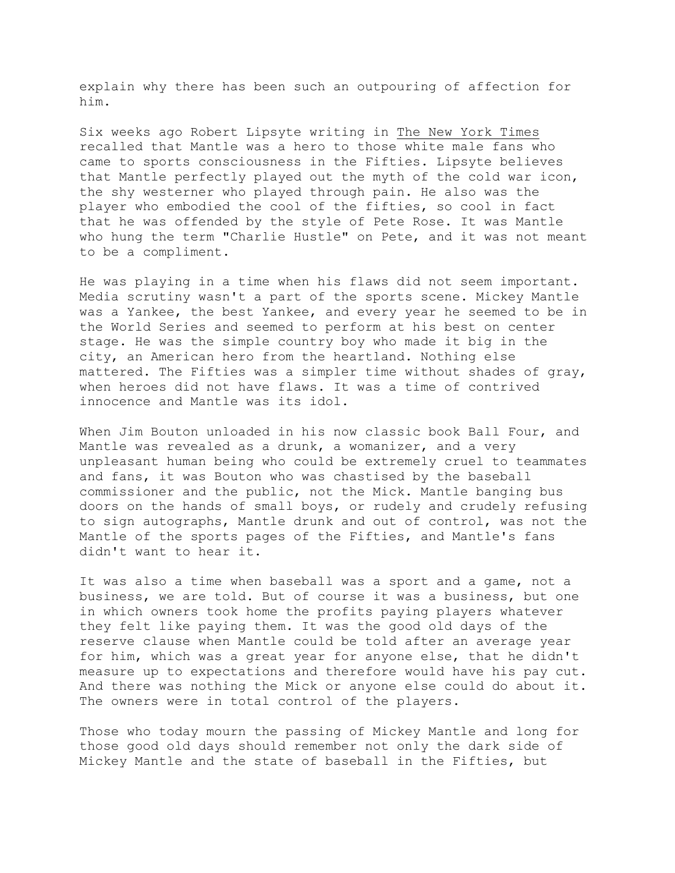explain why there has been such an outpouring of affection for him.

Six weeks ago Robert Lipsyte writing in The New York Times recalled that Mantle was a hero to those white male fans who came to sports consciousness in the Fifties. Lipsyte believes that Mantle perfectly played out the myth of the cold war icon, the shy westerner who played through pain. He also was the player who embodied the cool of the fifties, so cool in fact that he was offended by the style of Pete Rose. It was Mantle who hung the term "Charlie Hustle" on Pete, and it was not meant to be a compliment.

He was playing in a time when his flaws did not seem important. Media scrutiny wasn't a part of the sports scene. Mickey Mantle was a Yankee, the best Yankee, and every year he seemed to be in the World Series and seemed to perform at his best on center stage. He was the simple country boy who made it big in the city, an American hero from the heartland. Nothing else mattered. The Fifties was a simpler time without shades of gray, when heroes did not have flaws. It was a time of contrived innocence and Mantle was its idol.

When Jim Bouton unloaded in his now classic book Ball Four, and Mantle was revealed as a drunk, a womanizer, and a very unpleasant human being who could be extremely cruel to teammates and fans, it was Bouton who was chastised by the baseball commissioner and the public, not the Mick. Mantle banging bus doors on the hands of small boys, or rudely and crudely refusing to sign autographs, Mantle drunk and out of control, was not the Mantle of the sports pages of the Fifties, and Mantle's fans didn't want to hear it.

It was also a time when baseball was a sport and a game, not a business, we are told. But of course it was a business, but one in which owners took home the profits paying players whatever they felt like paying them. It was the good old days of the reserve clause when Mantle could be told after an average year for him, which was a great year for anyone else, that he didn't measure up to expectations and therefore would have his pay cut. And there was nothing the Mick or anyone else could do about it. The owners were in total control of the players.

Those who today mourn the passing of Mickey Mantle and long for those good old days should remember not only the dark side of Mickey Mantle and the state of baseball in the Fifties, but